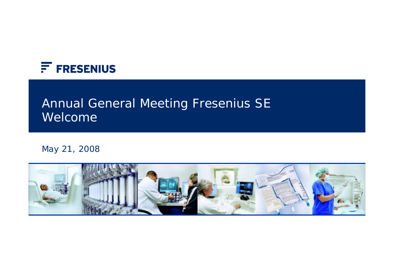

# Annual General Meeting Fresenius SE Welcome

May 21, 2008

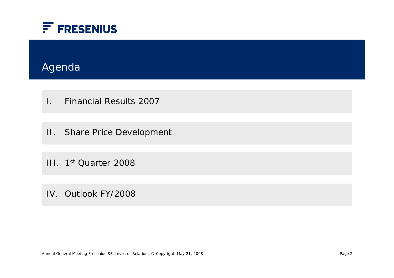

## Agenda

- I. Financial Results 2007
- II. Share Price Development
- III. 1st Quarter 2008
- IV. Outlook FY/2008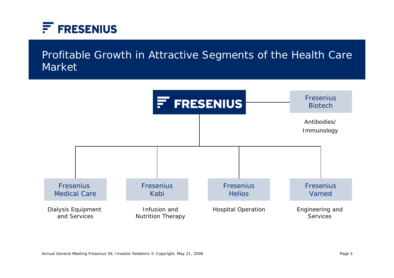

## Profitable Growth in Attractive Segments of the Health Care Market

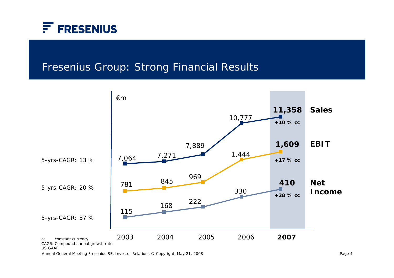

## Fresenius Group: Strong Financial Results



Annual General Meeting Fresenius SE, Investor Relations © Copyright, May 21, 2008 Page 4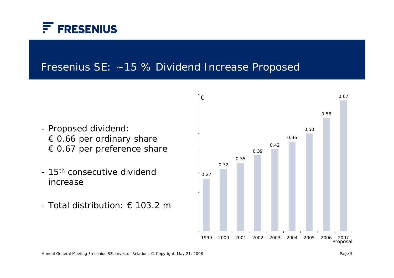

#### Fresenius SE: ~15 % Dividend Increase Proposed

- Proposed dividend: € 0.66 per ordinary share € 0.67 per preference share
- 15<sup>th</sup> consecutive dividend increase
- Total distribution:  $\epsilon$  103.2 m

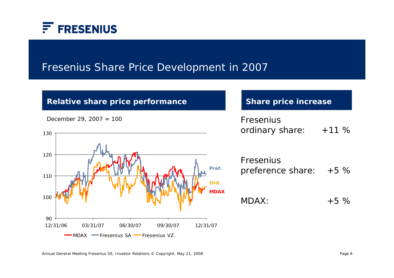

## Fresenius Share Price Development in 2007

#### **Relative share price performance Share price increase**

December 29, 2007 =  $100$ 



| Fresenius       |         |
|-----------------|---------|
| ordinary share: | $+11\%$ |

Fresenius preference share: +5 %

 $MDAX: +5 \%$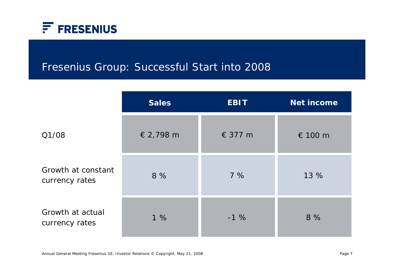

## Fresenius Group: Successful Start into 2008

|                                      | <b>Sales</b> | <b>EBIT</b> | <b>Net income</b> |
|--------------------------------------|--------------|-------------|-------------------|
| Q1/08                                | € 2,798 m    | € 377 m     | € 100 m           |
| Growth at constant<br>currency rates | 8 %          | 7%          | 13 %              |
| Growth at actual<br>currency rates   | 1%           | $-1%$       | 8%                |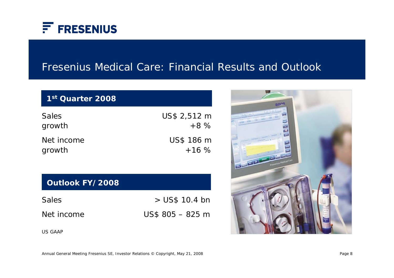

## Fresenius Medical Care: Financial Results and Outlook

#### **1st Quarter 2008**

| US\$ 2,512 m |
|--------------|
| $+8\%$       |
| US\$ 186 m   |
| $+16%$       |
|              |

#### **Outlook FY/2008**

| <b>Sales</b> | $>$ US\$ 10.4 bn |
|--------------|------------------|
| Net income   | $US$805 - 825 m$ |

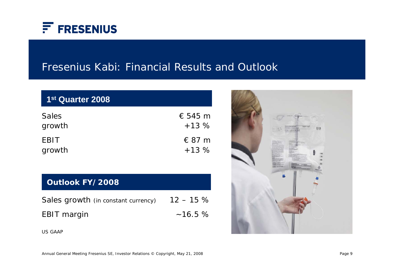

## Fresenius Kabi: Financial Results and Outlook

| 1 <sup>st</sup> Quarter 2008 |                  |
|------------------------------|------------------|
| <b>Sales</b>                 | $\epsilon$ 545 m |
| growth                       | $+13%$           |
| <b>EBIT</b>                  | $\in$ 87 m       |
| growth                       | $+13%$           |

#### **Outlook FY/2008**

| Sales growth (in constant currency) $12 - 15\%$ |        |
|-------------------------------------------------|--------|
| <b>EBIT</b> margin                              | ~16.5% |

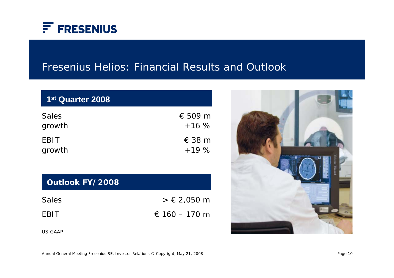

## Fresenius Helios: Financial Results and Outlook

| 1 <sup>st</sup> Quarter 2008 |                  |
|------------------------------|------------------|
| <b>Sales</b>                 | $\epsilon$ 509 m |
| growth                       | $+16%$           |
| <b>EBIT</b>                  | $\in$ 38 m       |
| growth                       | $+19%$           |

#### **Outlook FY/2008**

| <b>Sales</b> | $> € 2,050$ m |
|--------------|---------------|
| <b>EBIT</b>  | € 160 – 170 m |

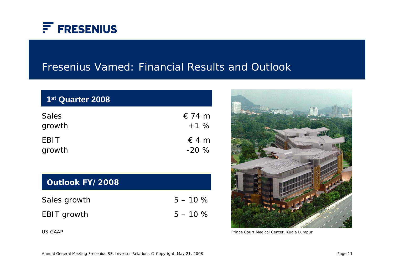

#### Fresenius Vamed: Financial Results and Outlook

| 1 <sup>st</sup> Quarter 2008 |            |
|------------------------------|------------|
| <b>Sales</b>                 | $\in$ 74 m |
| growth                       | $+1%$      |
| <b>EBIT</b>                  | $\in$ 4 m  |
| growth                       | $-20%$     |

#### **Outlook FY/2008**

| Sales growth | $5 - 10 \%$ |
|--------------|-------------|
| EBIT growth  | $5 - 10 \%$ |



Prince Court Medical Center, Kuala Lumpur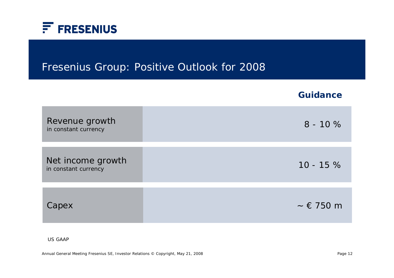

#### Fresenius Group: Positive Outlook for 2008

|                                           | <b>Guidance</b>       |
|-------------------------------------------|-----------------------|
| Revenue growth<br>in constant currency    | $8 - 10%$             |
| Net income growth<br>in constant currency | $10 - 15%$            |
| Capex                                     | $\sim \epsilon$ 750 m |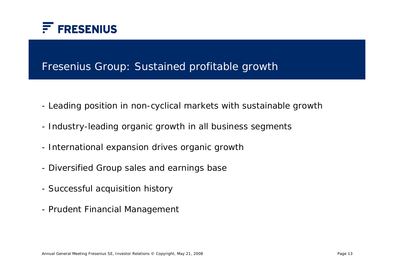

## Fresenius Group: Sustained profitable growth

- Leading position in non-cyclical markets with sustainable growth
- Industry-leading organic growth in all business segments
- International expansion drives organic growth
- Diversified Group sales and earnings base
- Successful acquisition history
- Prudent Financial Management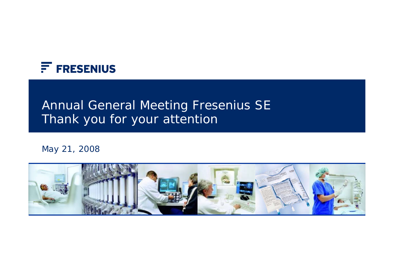

# Annual General Meeting Fresenius SE Thank you for your attention

May 21, 2008